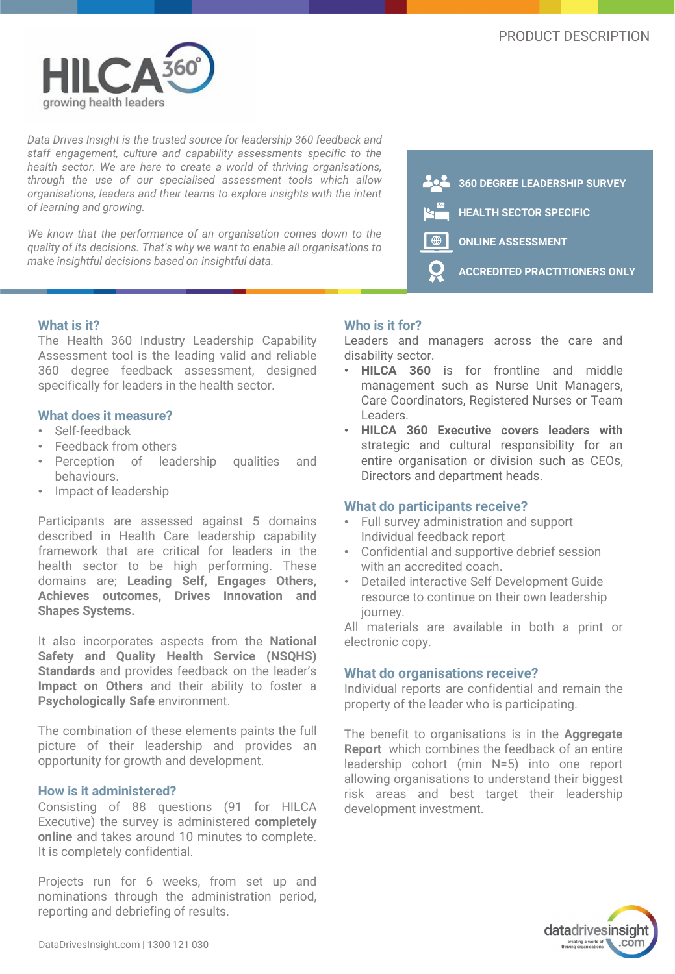

*Data Drives Insight is the trusted source for leadership 360 feedback and staff engagement, culture and capability assessments specific to the health sector. We are here to create a world of thriving organisations, through the use of our specialised assessment tools which allow organisations, leaders and their teams to explore insights with the intent of learning and growing.*

*We know that the performance of an organisation comes down to the quality of its decisions. That's why we want to enable all organisations to make insightful decisions based on insightful data.*



# **What is it?**

The Health 360 Industry Leadership Capability Assessment tool is the leading valid and reliable 360 degree feedback assessment, designed specifically for leaders in the health sector.

## **What does it measure?**

- Self-feedback
- Feedback from others
- Perception of leadership qualities and behaviours.
- Impact of leadership

Participants are assessed against 5 domains described in Health Care leadership capability framework that are critical for leaders in the health sector to be high performing. These domains are; **Leading Self, Engages Others, Achieves outcomes, Drives Innovation and Shapes Systems.**

It also incorporates aspects from the **National Safety and Quality Health Service (NSQHS) Standards** and provides feedback on the leader's **Impact on Others** and their ability to foster a **Psychologically Safe** environment.

The combination of these elements paints the full picture of their leadership and provides an opportunity for growth and development.

## **How is it administered?**

Consisting of 88 questions (91 for HILCA Executive) the survey is administered **completely online** and takes around 10 minutes to complete. It is completely confidential.

Projects run for 6 weeks, from set up and nominations through the administration period, reporting and debriefing of results.

# **Who is it for?**

Leaders and managers across the care and disability sector.

- **HILCA 360** is for frontline and middle management such as Nurse Unit Managers, Care Coordinators, Registered Nurses or Team Leaders.
- **HILCA 360 Executive covers leaders with** strategic and cultural responsibility for an entire organisation or division such as CEOs, Directors and department heads.

#### **What do participants receive?**

- Full survey administration and support Individual feedback report
- Confidential and supportive debrief session with an accredited coach.
- Detailed interactive Self Development Guide resource to continue on their own leadership journey.

All materials are available in both a print or electronic copy.

## **What do organisations receive?**

Individual reports are confidential and remain the property of the leader who is participating.

The benefit to organisations is in the **Aggregate Report** which combines the feedback of an entire leadership cohort (min N=5) into one report allowing organisations to understand their biggest risk areas and best target their leadership development investment.